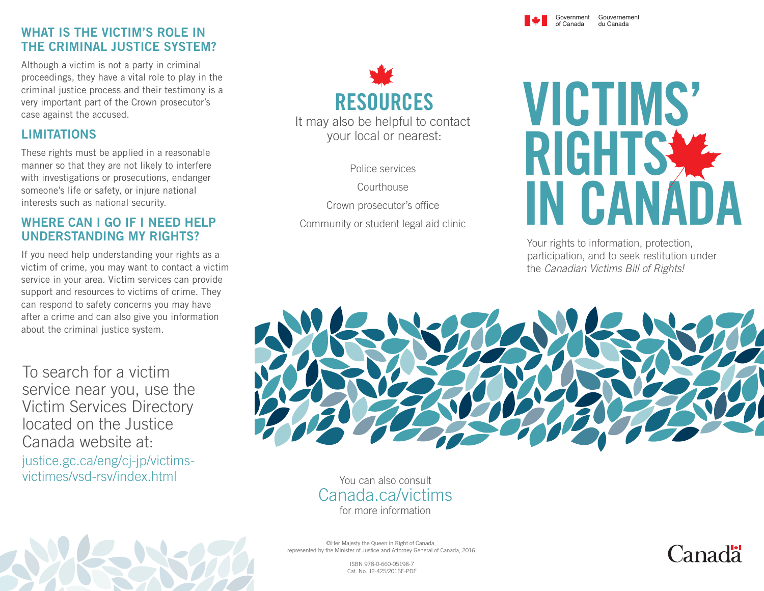#### WHAT IS THE VICTIM'S ROLE IN THE CRIMINAL JUSTICE SYSTEM?

Although a victim is not a party in criminal proceedings, they have a vital role to play in the criminal justice process and their testimony is a very important part of the Crown prosecutor's case against the accused.

#### LIMITATIONS

These rights must be applied in a reasonable manner so that they are not likely to interfere with investigations or prosecutions, endanger someone's life or safety, or injure national interests such as national security.

#### WHERE CAN I GO IF I NEED HELP UNDERSTANDING MY RIGHTS?

If you need help understanding your rights as a victim of crime, you may want to contact a victim service in your area. Victim services can provide support and resources to victims of crime. They can respond to safety concerns you may have after a crime and can also give you information about the criminal justice system.

To search for a victim service near you, use the Victim Services Directory located on the Justice Canada website at: justice.gc.ca/eng/cj-jp/victimsvictimes/vsd-rsv/index.html



Police services

Courthouse Crown prosecutor's office Community or student legal aid clinic



Government Gouvernement

du Canada

of Canada

Your rights to information, protection, participation, and to seek restitution under the *Canadian Victims Bill of Rights!*



You can also consult Canada.ca/victims for more information

©Her Majesty the Queen in Right of Canada, represented by the Minister of Justice and Attorney General of Canada, 2016

ISBN 978-0-660-05198-7 Cat. No. J2-425/2016E-PDF